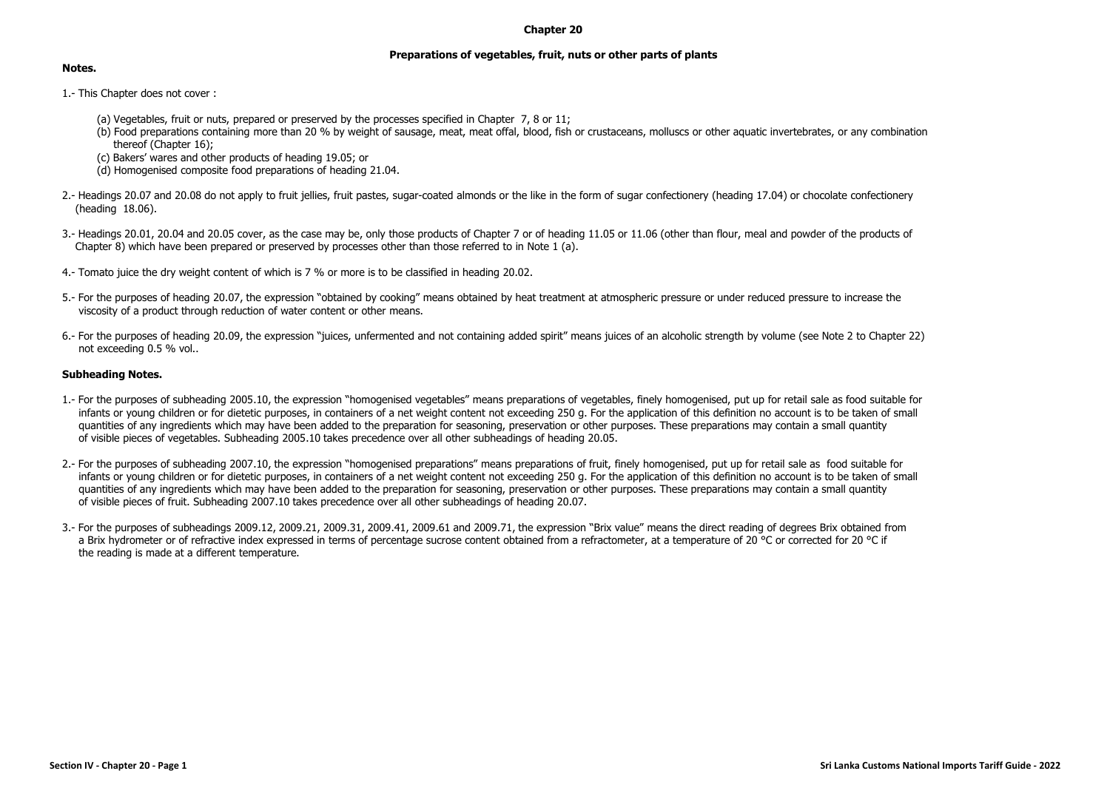## **Chapter 20**

## **Preparations of vegetables, fruit, nuts or other parts of plants**

## **Notes.**

- 1.- This Chapter does not cover :
	- (a) Vegetables, fruit or nuts, prepared or preserved by the processes specified in Chapter 7, 8 or 11;
	- (b) Food preparations containing more than 20 % by weight of sausage, meat, meat offal, blood, fish or crustaceans, molluscs or other aquatic invertebrates, or any combination thereof (Chapter 16);
	- (c) Bakers' wares and other products of heading 19.05; or
	- (d) Homogenised composite food preparations of heading 21.04.
- 2.- Headings 20.07 and 20.08 do not apply to fruit jellies, fruit pastes, sugar-coated almonds or the like in the form of sugar confectionery (heading 17.04) or chocolate confectionery (heading 18.06).
- 3.- Headings 20.01, 20.04 and 20.05 cover, as the case may be, only those products of Chapter 7 or of heading 11.05 or 11.06 (other than flour, meal and powder of the products of Chapter 8) which have been prepared or preserved by processes other than those referred to in Note 1 (a).
- 4.- Tomato juice the dry weight content of which is 7 % or more is to be classified in heading 20.02.
- 5.- For the purposes of heading 20.07, the expression "obtained by cooking" means obtained by heat treatment at atmospheric pressure or under reduced pressure to increase the viscosity of a product through reduction of water content or other means.
- 6.- For the purposes of heading 20.09, the expression "juices, unfermented and not containing added spirit" means juices of an alcoholic strength by volume (see Note 2 to Chapter 22) not exceeding 0.5 % vol..

## **Subheading Notes.**

- 1.- For the purposes of subheading 2005.10, the expression "homogenised vegetables" means preparations of vegetables, finely homogenised, put up for retail sale as food suitable for infants or young children or for dietetic purposes, in containers of a net weight content not exceeding 250 g. For the application of this definition no account is to be taken of small quantities of any ingredients which may have been added to the preparation for seasoning, preservation or other purposes. These preparations may contain a small quantity of visible pieces of vegetables. Subheading 2005.10 takes precedence over all other subheadings of heading 20.05.
- 2.- For the purposes of subheading 2007.10, the expression "homogenised preparations" means preparations of fruit, finely homogenised, put up for retail sale as food suitable for infants or young children or for dietetic purposes, in containers of a net weight content not exceeding 250 g. For the application of this definition no account is to be taken of small quantities of any ingredients which may have been added to the preparation for seasoning, preservation or other purposes. These preparations may contain a small quantity of visible pieces of fruit. Subheading 2007.10 takes precedence over all other subheadings of heading 20.07.
- 3.- For the purposes of subheadings 2009.12, 2009.21, 2009.31, 2009.41, 2009.61 and 2009.71, the expression "Brix value" means the direct reading of degrees Brix obtained from a Brix hydrometer or of refractive index expressed in terms of percentage sucrose content obtained from a refractometer, at a temperature of 20 °C or corrected for 20 °C if the reading is made at a different temperature.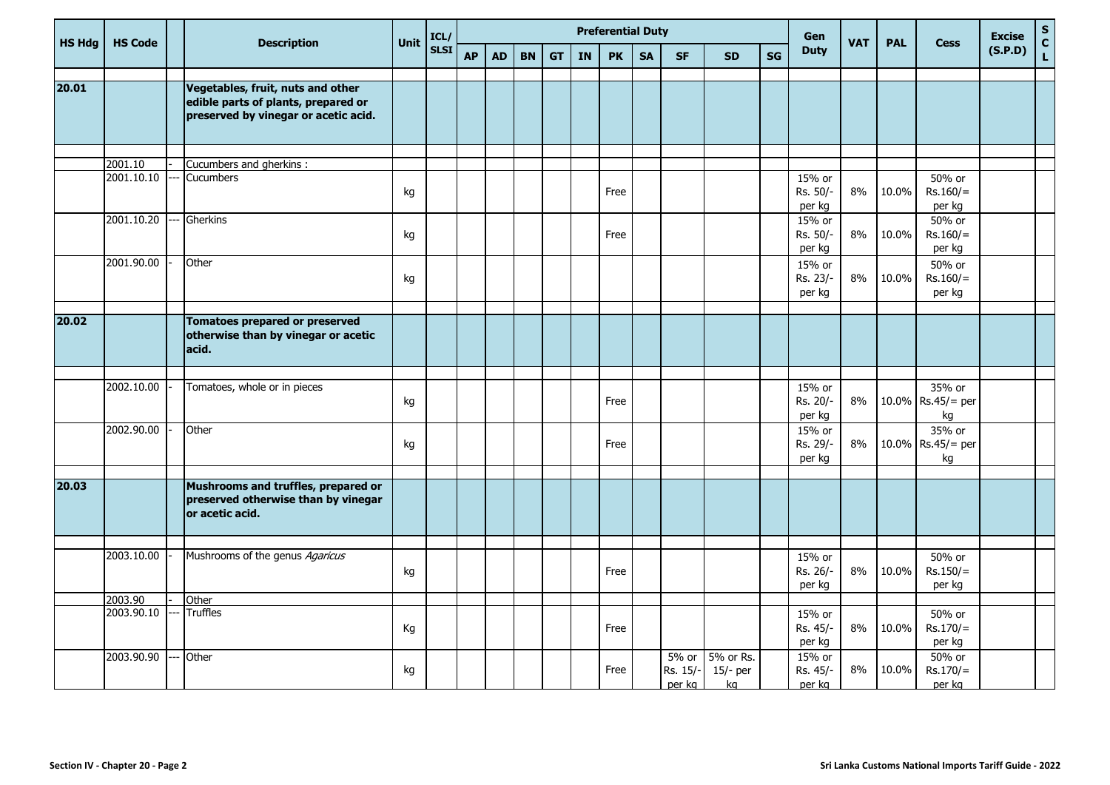| <b>HS Hdg</b> | <b>HS Code</b>        |    | <b>Description</b>                                                                                               | Unit | ICL/        |           |           |           |           |           | <b>Preferential Duty</b> |           |                             |                               |           | Gen                          | <b>VAT</b> | <b>PAL</b> | <b>Cess</b>                       | <b>Excise</b> | ${\sf s}$<br>$\mathbf{C}$ |
|---------------|-----------------------|----|------------------------------------------------------------------------------------------------------------------|------|-------------|-----------|-----------|-----------|-----------|-----------|--------------------------|-----------|-----------------------------|-------------------------------|-----------|------------------------------|------------|------------|-----------------------------------|---------------|---------------------------|
|               |                       |    |                                                                                                                  |      | <b>SLSI</b> | <b>AP</b> | <b>AD</b> | <b>BN</b> | <b>GT</b> | <b>IN</b> | <b>PK</b>                | <b>SA</b> | <b>SF</b>                   | <b>SD</b>                     | <b>SG</b> | <b>Duty</b>                  |            |            |                                   | (S.P.D)       | $\mathbf{L}$              |
| 20.01         |                       |    | Vegetables, fruit, nuts and other<br>edible parts of plants, prepared or<br>preserved by vinegar or acetic acid. |      |             |           |           |           |           |           |                          |           |                             |                               |           |                              |            |            |                                   |               |                           |
|               |                       |    |                                                                                                                  |      |             |           |           |           |           |           |                          |           |                             |                               |           |                              |            |            |                                   |               |                           |
|               | 2001.10<br>2001.10.10 |    | Cucumbers and gherkins :<br>Cucumbers                                                                            | kg   |             |           |           |           |           |           | Free                     |           |                             |                               |           | 15% or<br>Rs. 50/-<br>per kg | 8%         | 10.0%      | 50% or<br>$Rs.160/=$<br>per kg    |               |                           |
|               | 2001.10.20            |    | Gherkins                                                                                                         | kg   |             |           |           |           |           |           | Free                     |           |                             |                               |           | 15% or<br>Rs. 50/-<br>per kg | 8%         | 10.0%      | 50% or<br>$Rs.160/=$<br>per kg    |               |                           |
|               | 2001.90.00            |    | Other                                                                                                            | kg   |             |           |           |           |           |           |                          |           |                             |                               |           | 15% or<br>Rs. 23/-<br>per kg | 8%         | 10.0%      | 50% or<br>$Rs.160/=$<br>per kg    |               |                           |
| 20.02         |                       |    | <b>Tomatoes prepared or preserved</b><br>otherwise than by vinegar or acetic<br>acid.                            |      |             |           |           |           |           |           |                          |           |                             |                               |           |                              |            |            |                                   |               |                           |
|               | 2002.10.00            |    | Tomatoes, whole or in pieces                                                                                     | kg   |             |           |           |           |           |           | Free                     |           |                             |                               |           | 15% or<br>Rs. 20/-<br>per kg | 8%         |            | 35% or<br>10.0% Rs.45/= per<br>kg |               |                           |
|               | 2002.90.00            |    | Other                                                                                                            | kg   |             |           |           |           |           |           | Free                     |           |                             |                               |           | 15% or<br>Rs. 29/-<br>per kg | 8%         |            | 35% or<br>10.0% Rs.45/= per<br>kg |               |                           |
| 20.03         |                       |    | Mushrooms and truffles, prepared or<br>preserved otherwise than by vinegar<br>or acetic acid.                    |      |             |           |           |           |           |           |                          |           |                             |                               |           |                              |            |            |                                   |               |                           |
|               | 2003.10.00            |    | Mushrooms of the genus Agaricus                                                                                  | kg   |             |           |           |           |           |           | Free                     |           |                             |                               |           | 15% or<br>Rs. 26/-<br>per kg | 8%         | 10.0%      | 50% or<br>$Rs.150/=$<br>per kg    |               |                           |
|               | 2003.90               |    | Other                                                                                                            |      |             |           |           |           |           |           |                          |           |                             |                               |           |                              |            |            |                                   |               |                           |
|               | 2003.90.10            |    | <b>Truffles</b>                                                                                                  | Кg   |             |           |           |           |           |           | Free                     |           |                             |                               |           | 15% or<br>Rs. 45/-<br>per kg | 8%         | 10.0%      | 50% or<br>$Rs.170/=$<br>per kg    |               |                           |
|               | 2003.90.90            | -- | Other                                                                                                            | kg   |             |           |           |           |           |           | Free                     |           | 5% or<br>Rs. 15/-<br>per kg | 5% or Rs.<br>$15/-$ per<br>kq |           | 15% or<br>Rs. 45/-<br>per kg | 8%         | 10.0%      | 50% or<br>$Rs.170/=$<br>per kg    |               |                           |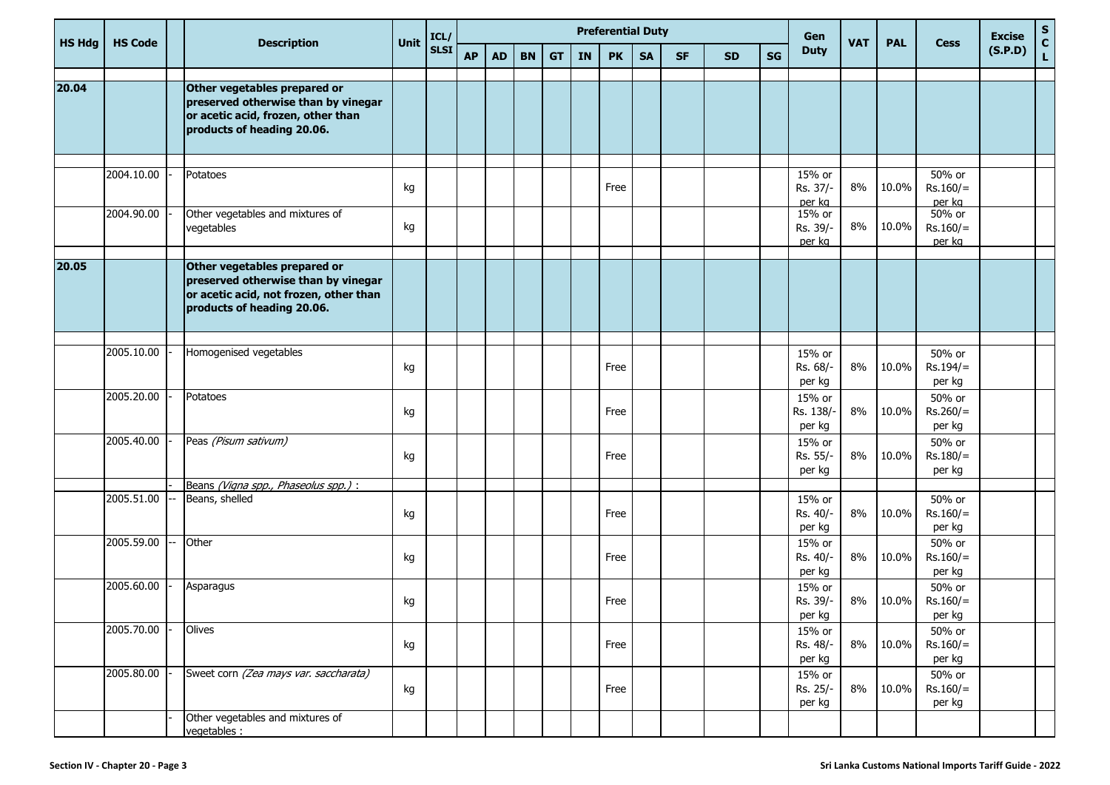|               | ICL/<br>Unit<br><b>Description</b> |  |                                                                                                                                             |    |             |           |           |           |           |           | <b>Preferential Duty</b> |           |           |           |    | Gen                          |            |            |                                | <b>Excise</b> | $\mathbf S$   |
|---------------|------------------------------------|--|---------------------------------------------------------------------------------------------------------------------------------------------|----|-------------|-----------|-----------|-----------|-----------|-----------|--------------------------|-----------|-----------|-----------|----|------------------------------|------------|------------|--------------------------------|---------------|---------------|
| <b>HS Hdg</b> | <b>HS Code</b>                     |  |                                                                                                                                             |    | <b>SLSI</b> | <b>AP</b> | <b>AD</b> | <b>BN</b> | <b>GT</b> | <b>IN</b> | <b>PK</b>                | <b>SA</b> | <b>SF</b> | <b>SD</b> | SG | <b>Duty</b>                  | <b>VAT</b> | <b>PAL</b> | <b>Cess</b>                    | (S.P.D)       | $\frac{c}{L}$ |
| 20.04         |                                    |  | Other vegetables prepared or                                                                                                                |    |             |           |           |           |           |           |                          |           |           |           |    |                              |            |            |                                |               |               |
|               |                                    |  | preserved otherwise than by vinegar<br>or acetic acid, frozen, other than<br>products of heading 20.06.                                     |    |             |           |           |           |           |           |                          |           |           |           |    |                              |            |            |                                |               |               |
|               |                                    |  |                                                                                                                                             |    |             |           |           |           |           |           |                          |           |           |           |    |                              |            |            |                                |               |               |
|               | 2004.10.00                         |  | Potatoes                                                                                                                                    | kg |             |           |           |           |           |           | Free                     |           |           |           |    | 15% or<br>Rs. 37/-<br>per kg | 8%         | 10.0%      | 50% or<br>$Rs.160/=$<br>per kg |               |               |
|               | 2004.90.00                         |  | Other vegetables and mixtures of<br>vegetables                                                                                              | kg |             |           |           |           |           |           |                          |           |           |           |    | 15% or<br>Rs. 39/-<br>per kg | 8%         | 10.0%      | 50% or<br>$Rs.160/=$<br>per kg |               |               |
|               |                                    |  |                                                                                                                                             |    |             |           |           |           |           |           |                          |           |           |           |    |                              |            |            |                                |               |               |
| 20.05         |                                    |  | Other vegetables prepared or<br>preserved otherwise than by vinegar<br>or acetic acid, not frozen, other than<br>products of heading 20.06. |    |             |           |           |           |           |           |                          |           |           |           |    |                              |            |            |                                |               |               |
|               |                                    |  |                                                                                                                                             |    |             |           |           |           |           |           |                          |           |           |           |    |                              |            |            |                                |               |               |
|               | 2005.10.00                         |  | Homogenised vegetables                                                                                                                      | kg |             |           |           |           |           |           | Free                     |           |           |           |    | 15% or<br>Rs. 68/-<br>per kg | 8%         | 10.0%      | 50% or<br>$Rs.194/=$<br>per kg |               |               |
|               | 2005.20.00                         |  | Potatoes                                                                                                                                    | kg |             |           |           |           |           |           | Free                     |           |           |           |    | 15% or<br>Rs. 138/<br>per kg | 8%         | 10.0%      | 50% or<br>$Rs.260/=$<br>per kg |               |               |
|               | 2005.40.00                         |  | Peas (Pisum sativum)                                                                                                                        | kg |             |           |           |           |           |           | Free                     |           |           |           |    | 15% or<br>Rs. 55/-<br>per kg | 8%         | 10.0%      | 50% or<br>$Rs.180/=$<br>per kg |               |               |
|               |                                    |  | Beans (Vigna spp., Phaseolus spp.) :                                                                                                        |    |             |           |           |           |           |           |                          |           |           |           |    |                              |            |            |                                |               |               |
|               | 2005.51.00                         |  | Beans, shelled                                                                                                                              | kg |             |           |           |           |           |           | Free                     |           |           |           |    | 15% or<br>Rs. 40/-<br>per kg | 8%         | 10.0%      | 50% or<br>$Rs.160/=$<br>per kg |               |               |
|               | 2005.59.00                         |  | Other                                                                                                                                       | kg |             |           |           |           |           |           | Free                     |           |           |           |    | 15% or<br>Rs. 40/-<br>per kg | 8%         | 10.0%      | 50% or<br>$Rs.160/=$<br>per kg |               |               |
|               | 2005.60.00                         |  | Asparagus                                                                                                                                   | kg |             |           |           |           |           |           | Free                     |           |           |           |    | 15% or<br>Rs. 39/-<br>per kg | $8\%$      | 10.0%      | 50% or<br>$Rs.160/=$<br>per kg |               |               |
|               | 2005.70.00                         |  | Olives                                                                                                                                      | kg |             |           |           |           |           |           | Free                     |           |           |           |    | 15% or<br>Rs. 48/-<br>per kg | 8%         | 10.0%      | 50% or<br>$Rs.160/=$<br>per kg |               |               |
|               | 2005.80.00                         |  | Sweet corn (Zea mays var. saccharata)                                                                                                       | kg |             |           |           |           |           |           | Free                     |           |           |           |    | 15% or<br>Rs. 25/-<br>per kg | 8%         | 10.0%      | 50% or<br>$Rs.160/=$<br>per kg |               |               |
|               |                                    |  | Other vegetables and mixtures of<br>vegetables :                                                                                            |    |             |           |           |           |           |           |                          |           |           |           |    |                              |            |            |                                |               |               |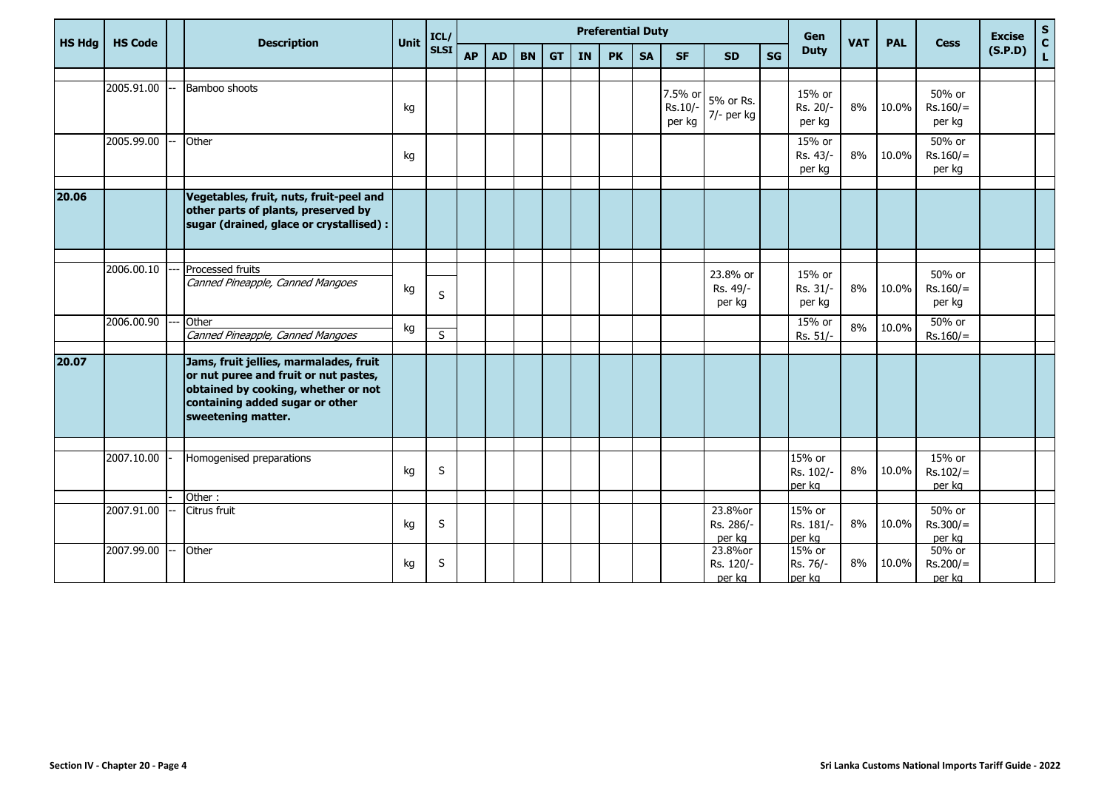|               |                |                                                                                                                                                                                 |      | ICL/        |           |           |           |           |           | <b>Preferential Duty</b> |           |                              |                                |           | Gen                           |            |            |                                | <b>Excise</b> |                                            |
|---------------|----------------|---------------------------------------------------------------------------------------------------------------------------------------------------------------------------------|------|-------------|-----------|-----------|-----------|-----------|-----------|--------------------------|-----------|------------------------------|--------------------------------|-----------|-------------------------------|------------|------------|--------------------------------|---------------|--------------------------------------------|
| <b>HS Hdg</b> | <b>HS Code</b> | <b>Description</b>                                                                                                                                                              | Unit | <b>SLSI</b> | <b>AP</b> | <b>AD</b> | <b>BN</b> | <b>GT</b> | <b>IN</b> | <b>PK</b>                | <b>SA</b> | <b>SF</b>                    | <b>SD</b>                      | <b>SG</b> | <b>Duty</b>                   | <b>VAT</b> | <b>PAL</b> | <b>Cess</b>                    | (S.P.D)       | $\begin{array}{c} S \\ C \\ L \end{array}$ |
|               |                |                                                                                                                                                                                 |      |             |           |           |           |           |           |                          |           |                              |                                |           |                               |            |            |                                |               |                                            |
|               | 2005.91.00     | Bamboo shoots                                                                                                                                                                   | kg   |             |           |           |           |           |           |                          |           | 7.5% or<br>Rs.10/-<br>per kg | 5% or Rs.<br>7/- per kg        |           | 15% or<br>Rs. 20/-<br>per kg  | 8%         | 10.0%      | 50% or<br>$Rs.160/=$<br>per kg |               |                                            |
|               | 2005.99.00     | Other                                                                                                                                                                           | kg   |             |           |           |           |           |           |                          |           |                              |                                |           | 15% or<br>Rs. 43/-<br>per kg  | 8%         | 10.0%      | 50% or<br>$Rs.160/=$<br>per kg |               |                                            |
| 20.06         |                | Vegetables, fruit, nuts, fruit-peel and<br>other parts of plants, preserved by<br>sugar (drained, glace or crystallised) :                                                      |      |             |           |           |           |           |           |                          |           |                              |                                |           |                               |            |            |                                |               |                                            |
|               | 2006.00.10     | Processed fruits<br>Canned Pineapple, Canned Mangoes                                                                                                                            | kg   | S           |           |           |           |           |           |                          |           |                              | 23.8% or<br>Rs. 49/-<br>per kg |           | 15% or<br>Rs. 31/-<br>per kg  | 8%         | 10.0%      | 50% or<br>$Rs.160/=$<br>per kg |               |                                            |
|               | 2006.00.90     | Other<br>Canned Pineapple, Canned Mangoes                                                                                                                                       | kg   | S           |           |           |           |           |           |                          |           |                              |                                |           | 15% or<br>Rs. 51/-            | 8%         | 10.0%      | 50% or<br>$Rs.160/=$           |               |                                            |
| 20.07         |                | Jams, fruit jellies, marmalades, fruit<br>or nut puree and fruit or nut pastes,<br>obtained by cooking, whether or not<br>containing added sugar or other<br>sweetening matter. |      |             |           |           |           |           |           |                          |           |                              |                                |           |                               |            |            |                                |               |                                            |
|               | 2007.10.00     | Homogenised preparations                                                                                                                                                        | kg   | S           |           |           |           |           |           |                          |           |                              |                                |           | 15% or<br>Rs. 102/-<br>per kg | 8%         | 10.0%      | 15% or<br>$Rs.102/=$<br>per kg |               |                                            |
|               | 2007.91.00     | Other:<br>Citrus fruit                                                                                                                                                          | kg   | S           |           |           |           |           |           |                          |           |                              | 23.8%or<br>Rs. 286/-<br>per kg |           | 15% or<br>Rs. 181/-<br>per kg | 8%         | 10.0%      | 50% or<br>$Rs.300/=$<br>per kg |               |                                            |
|               | 2007.99.00     | Other                                                                                                                                                                           | kg   | S           |           |           |           |           |           |                          |           |                              | 23.8%or<br>Rs. 120/-<br>per kg |           | 15% or<br>Rs. 76/-<br>per kg  | 8%         | 10.0%      | 50% or<br>$Rs.200/=$<br>per kg |               |                                            |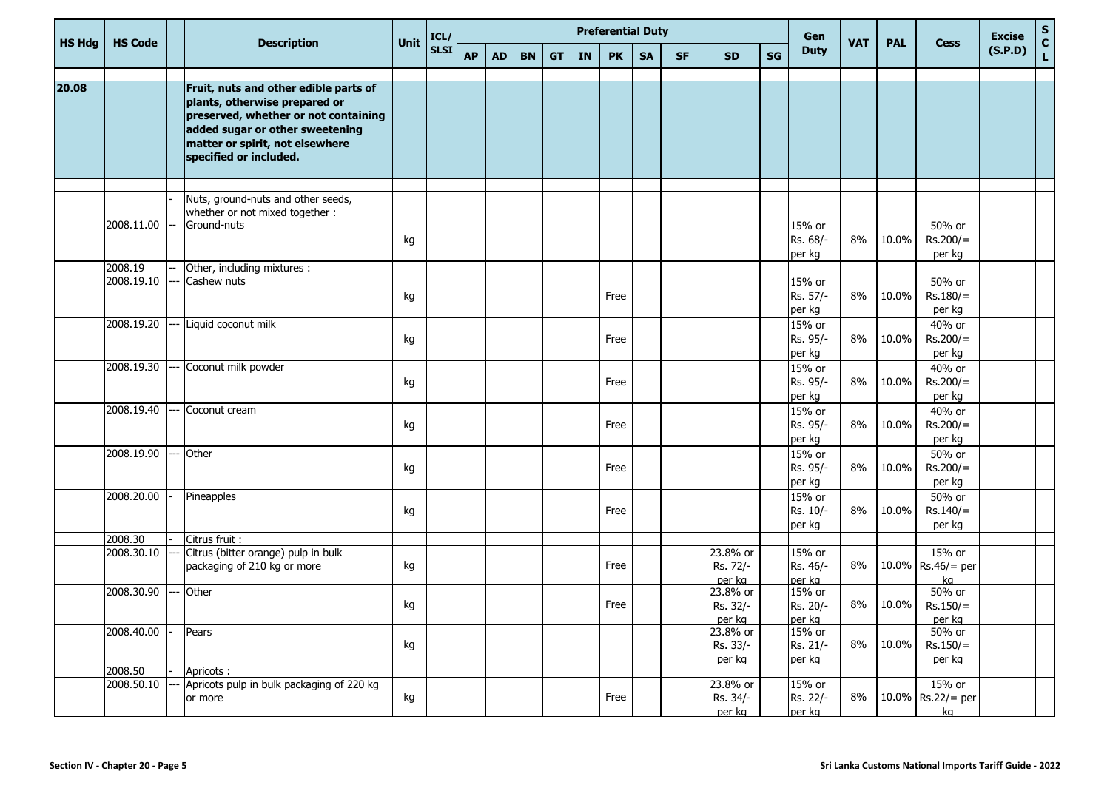|               | <b>HS Code</b> |                                                                                                                                                                                                                | Unit | ICL/        |           |           |           |           |           | <b>Preferential Duty</b> |           |           |                                |    | Gen                          | <b>VAT</b> | <b>PAL</b> |                                     | <b>Excise</b> | ${\bf S}$     |
|---------------|----------------|----------------------------------------------------------------------------------------------------------------------------------------------------------------------------------------------------------------|------|-------------|-----------|-----------|-----------|-----------|-----------|--------------------------|-----------|-----------|--------------------------------|----|------------------------------|------------|------------|-------------------------------------|---------------|---------------|
| <b>HS Hdg</b> |                | <b>Description</b>                                                                                                                                                                                             |      | <b>SLSI</b> | <b>AP</b> | <b>AD</b> | <b>BN</b> | <b>GT</b> | <b>IN</b> | <b>PK</b>                | <b>SA</b> | <b>SF</b> | <b>SD</b>                      | SG | <b>Duty</b>                  |            |            | <b>Cess</b>                         | (S.P.D)       | $\frac{c}{L}$ |
| 20.08         |                | Fruit, nuts and other edible parts of<br>plants, otherwise prepared or<br>preserved, whether or not containing<br>added sugar or other sweetening<br>matter or spirit, not elsewhere<br>specified or included. |      |             |           |           |           |           |           |                          |           |           |                                |    |                              |            |            |                                     |               |               |
|               |                |                                                                                                                                                                                                                |      |             |           |           |           |           |           |                          |           |           |                                |    |                              |            |            |                                     |               |               |
|               |                | Nuts, ground-nuts and other seeds,<br>whether or not mixed together :                                                                                                                                          |      |             |           |           |           |           |           |                          |           |           |                                |    |                              |            |            |                                     |               |               |
|               | 2008.11.00     | Ground-nuts                                                                                                                                                                                                    | kg   |             |           |           |           |           |           |                          |           |           |                                |    | 15% or<br>Rs. 68/-<br>per kg | 8%         | 10.0%      | 50% or<br>$Rs.200/=$<br>per kg      |               |               |
|               | 2008.19        | Other, including mixtures :                                                                                                                                                                                    |      |             |           |           |           |           |           |                          |           |           |                                |    |                              |            |            |                                     |               |               |
|               | 2008.19.10     | Cashew nuts                                                                                                                                                                                                    | kg   |             |           |           |           |           |           | Free                     |           |           |                                |    | 15% or<br>Rs. 57/-<br>per kg | 8%         | 10.0%      | 50% or<br>$Rs.180/=$<br>per kg      |               |               |
|               | 2008.19.20     | Liquid coconut milk                                                                                                                                                                                            | kg   |             |           |           |           |           |           | Free                     |           |           |                                |    | 15% or<br>Rs. 95/-<br>per kg | 8%         | 10.0%      | 40% or<br>$Rs.200/=$<br>per kg      |               |               |
|               | 2008.19.30     | Coconut milk powder                                                                                                                                                                                            | kg   |             |           |           |           |           |           | Free                     |           |           |                                |    | 15% or<br>Rs. 95/-<br>per kg | 8%         | 10.0%      | 40% or<br>$Rs.200/=$<br>per kg      |               |               |
|               | 2008.19.40     | Coconut cream                                                                                                                                                                                                  | kg   |             |           |           |           |           |           | Free                     |           |           |                                |    | 15% or<br>Rs. 95/-<br>per kg | 8%         | 10.0%      | 40% or<br>$Rs.200/=$<br>per kg      |               |               |
|               | 2008.19.90     | Other                                                                                                                                                                                                          | kg   |             |           |           |           |           |           | Free                     |           |           |                                |    | 15% or<br>Rs. 95/-<br>per kg | 8%         | 10.0%      | 50% or<br>$Rs.200/=$<br>per kg      |               |               |
|               | 2008.20.00     | Pineapples                                                                                                                                                                                                     | kg   |             |           |           |           |           |           | Free                     |           |           |                                |    | 15% or<br>Rs. 10/-<br>per kg | 8%         | 10.0%      | 50% or<br>$Rs.140/=$<br>per kg      |               |               |
|               | 2008.30        | Citrus fruit :                                                                                                                                                                                                 |      |             |           |           |           |           |           |                          |           |           |                                |    |                              |            |            |                                     |               |               |
|               | 2008.30.10     | Citrus (bitter orange) pulp in bulk<br>packaging of 210 kg or more                                                                                                                                             | kg   |             |           |           |           |           |           | Free                     |           |           | 23.8% or<br>Rs. 72/-<br>per kg |    | 15% or<br>Rs. 46/-<br>per kg | 8%         |            | 15% or<br>10.0% Rs.46/= per<br>ka   |               |               |
|               | 2008.30.90     | Other                                                                                                                                                                                                          | kg   |             |           |           |           |           |           | Free                     |           |           | 23.8% or<br>Rs. 32/-<br>per kg |    | 15% or<br>Rs. 20/-<br>per kg | 8%         | 10.0%      | 50% or<br>$Rs.150/=$<br>per kg      |               |               |
|               | 2008.40.00     | Pears                                                                                                                                                                                                          | kg   |             |           |           |           |           |           |                          |           |           | 23.8% or<br>Rs. 33/-<br>per kg |    | 15% or<br>Rs. 21/-<br>per kg | 8%         | 10.0%      | 50% or<br>$Rs.150/=$<br>per kg      |               |               |
|               | 2008.50        | Apricots:                                                                                                                                                                                                      |      |             |           |           |           |           |           |                          |           |           |                                |    |                              |            |            |                                     |               |               |
|               | 2008.50.10     | Apricots pulp in bulk packaging of 220 kg<br>or more                                                                                                                                                           | kg   |             |           |           |           |           |           | Free                     |           |           | 23.8% or<br>Rs. 34/-<br>per kg |    | 15% or<br>Rs. 22/-<br>per kg | 8%         |            | $15%$ or<br>10.0% Rs.22/= per<br>kq |               |               |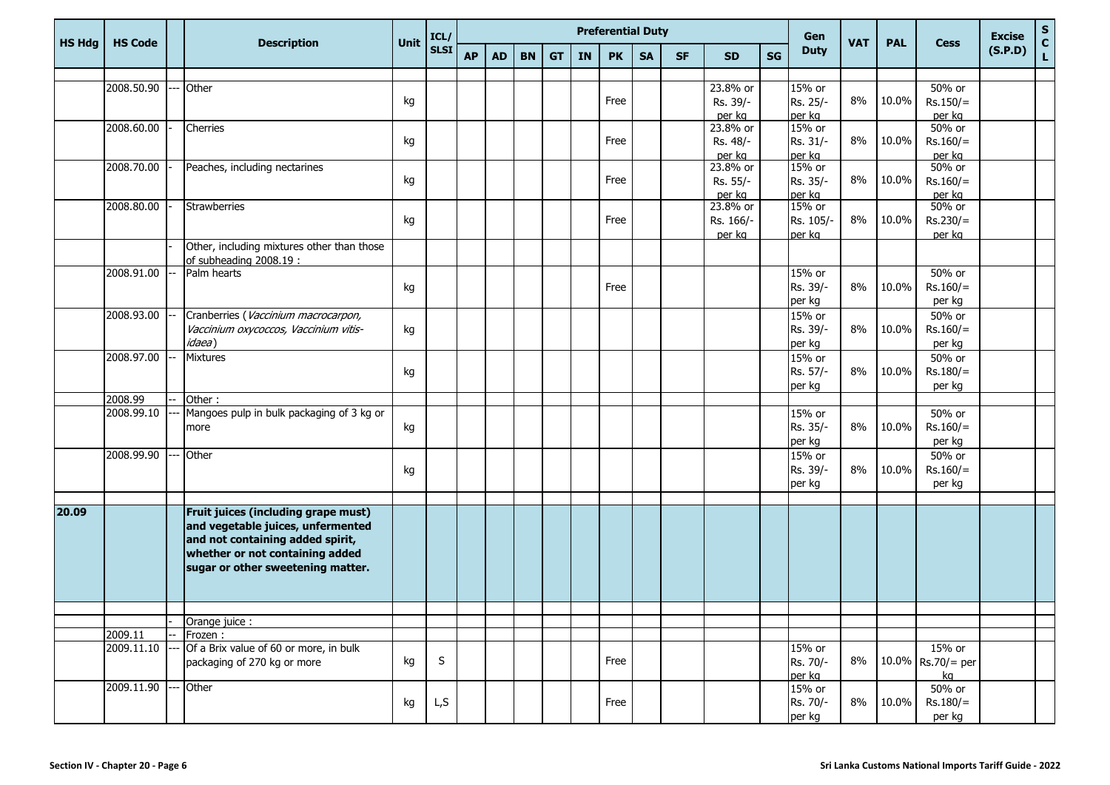|               |                |                                                                      |             | ICL/        |           |           |           |           |           | <b>Preferential Duty</b> |           |           |                       |    | Gen                 |            |            |                      | <b>Excise</b> | ${\sf s}$                    |
|---------------|----------------|----------------------------------------------------------------------|-------------|-------------|-----------|-----------|-----------|-----------|-----------|--------------------------|-----------|-----------|-----------------------|----|---------------------|------------|------------|----------------------|---------------|------------------------------|
| <b>HS Hdg</b> | <b>HS Code</b> | <b>Description</b>                                                   | <b>Unit</b> | <b>SLSI</b> | <b>AP</b> | <b>AD</b> | <b>BN</b> | <b>GT</b> | <b>IN</b> | <b>PK</b>                | <b>SA</b> | <b>SF</b> | <b>SD</b>             | SG | <b>Duty</b>         | <b>VAT</b> | <b>PAL</b> | <b>Cess</b>          | (S.P.D)       | $\mathbf{C}$<br>$\mathsf{L}$ |
|               |                |                                                                      |             |             |           |           |           |           |           |                          |           |           |                       |    |                     |            |            |                      |               |                              |
|               | 2008.50.90     | Other                                                                | kg          |             |           |           |           |           |           | Free                     |           |           | 23.8% or<br>Rs. 39/-  |    | 15% or<br>Rs. 25/-  | 8%         | 10.0%      | 50% or<br>$Rs.150/=$ |               |                              |
|               |                |                                                                      |             |             |           |           |           |           |           |                          |           |           | per kg                |    | per kg              |            |            | per kg               |               |                              |
|               | 2008.60.00     | Cherries                                                             |             |             |           |           |           |           |           |                          |           |           | 23.8% or              |    | 15% or              |            |            | 50% or               |               |                              |
|               |                |                                                                      | kg          |             |           |           |           |           |           | Free                     |           |           | Rs. 48/-              |    | Rs. 31/-            | 8%         | 10.0%      | $Rs.160/=$           |               |                              |
|               | 2008.70.00     | Peaches, including nectarines                                        |             |             |           |           |           |           |           |                          |           |           | per kg<br>23.8% or    |    | per kg<br>15% or    |            |            | per kg<br>50% or     |               |                              |
|               |                |                                                                      | kg          |             |           |           |           |           |           | Free                     |           |           | Rs. 55/-              |    | Rs. 35/-            | 8%         | 10.0%      | $Rs.160/=$           |               |                              |
|               |                |                                                                      |             |             |           |           |           |           |           |                          |           |           | per kg                |    | per kg              |            |            | per kg               |               |                              |
|               | 2008.80.00     | Strawberries                                                         | kg          |             |           |           |           |           |           | Free                     |           |           | 23.8% or<br>Rs. 166/- |    | 15% or<br>Rs. 105/- | 8%         | 10.0%      | 50% or<br>$Rs.230/=$ |               |                              |
|               |                |                                                                      |             |             |           |           |           |           |           |                          |           |           | per kg                |    | per kg              |            |            | per kg               |               |                              |
|               |                | Other, including mixtures other than those                           |             |             |           |           |           |           |           |                          |           |           |                       |    |                     |            |            |                      |               |                              |
|               | 2008.91.00     | of subheading 2008.19 :<br>Palm hearts                               |             |             |           |           |           |           |           |                          |           |           |                       |    | 15% or              |            |            | 50% or               |               |                              |
|               |                |                                                                      | kg          |             |           |           |           |           |           | Free                     |           |           |                       |    | Rs. 39/-            | 8%         | 10.0%      | $Rs.160/=$           |               |                              |
|               |                |                                                                      |             |             |           |           |           |           |           |                          |           |           |                       |    | per kg              |            |            | per kg               |               |                              |
|               | 2008.93.00     | Cranberries (Vaccinium macrocarpon,                                  |             |             |           |           |           |           |           |                          |           |           |                       |    | 15% or              |            |            | 50% or               |               |                              |
|               |                | Vaccinium oxycoccos, Vaccinium vitis-<br><i>idaea</i> )              | kg          |             |           |           |           |           |           |                          |           |           |                       |    | Rs. 39/-            | 8%         | 10.0%      | $Rs.160/=$           |               |                              |
|               | 2008.97.00     | <b>Mixtures</b>                                                      |             |             |           |           |           |           |           |                          |           |           |                       |    | per kg<br>15% or    |            |            | per kg<br>50% or     |               |                              |
|               |                |                                                                      | kg          |             |           |           |           |           |           |                          |           |           |                       |    | Rs. 57/-            | 8%         | 10.0%      | $Rs.180/=$           |               |                              |
|               |                |                                                                      |             |             |           |           |           |           |           |                          |           |           |                       |    | per kg              |            |            | per kg               |               |                              |
|               | 2008.99        | Other:                                                               |             |             |           |           |           |           |           |                          |           |           |                       |    |                     |            |            |                      |               |                              |
|               | 2008.99.10     | Mangoes pulp in bulk packaging of 3 kg or<br>more                    | kg          |             |           |           |           |           |           |                          |           |           |                       |    | 15% or<br>Rs. 35/-  | 8%         | 10.0%      | 50% or<br>$Rs.160/=$ |               |                              |
|               |                |                                                                      |             |             |           |           |           |           |           |                          |           |           |                       |    | per kg              |            |            | per kg               |               |                              |
|               | 2008.99.90     | Other                                                                |             |             |           |           |           |           |           |                          |           |           |                       |    | 15% or              |            |            | 50% or               |               |                              |
|               |                |                                                                      | kg          |             |           |           |           |           |           |                          |           |           |                       |    | Rs. 39/-            | 8%         | 10.0%      | $Rs.160/=$           |               |                              |
|               |                |                                                                      |             |             |           |           |           |           |           |                          |           |           |                       |    | per kg              |            |            | per kg               |               |                              |
| 20.09         |                | Fruit juices (including grape must)                                  |             |             |           |           |           |           |           |                          |           |           |                       |    |                     |            |            |                      |               |                              |
|               |                | and vegetable juices, unfermented                                    |             |             |           |           |           |           |           |                          |           |           |                       |    |                     |            |            |                      |               |                              |
|               |                | and not containing added spirit,                                     |             |             |           |           |           |           |           |                          |           |           |                       |    |                     |            |            |                      |               |                              |
|               |                | whether or not containing added<br>sugar or other sweetening matter. |             |             |           |           |           |           |           |                          |           |           |                       |    |                     |            |            |                      |               |                              |
|               |                |                                                                      |             |             |           |           |           |           |           |                          |           |           |                       |    |                     |            |            |                      |               |                              |
|               |                |                                                                      |             |             |           |           |           |           |           |                          |           |           |                       |    |                     |            |            |                      |               |                              |
|               |                |                                                                      |             |             |           |           |           |           |           |                          |           |           |                       |    |                     |            |            |                      |               |                              |
|               | 2009.11        | Orange juice :<br>Frozen:                                            |             |             |           |           |           |           |           |                          |           |           |                       |    |                     |            |            |                      |               |                              |
|               | 2009.11.10     | Of a Brix value of 60 or more, in bulk                               |             |             |           |           |           |           |           |                          |           |           |                       |    | 15% or              |            |            | 15% or               |               |                              |
|               |                | packaging of 270 kg or more                                          | kg          | S           |           |           |           |           |           | Free                     |           |           |                       |    | Rs. 70/-            | 8%         |            | 10.0% Rs.70/= per    |               |                              |
|               | 2009.11.90     | Other                                                                |             |             |           |           |           |           |           |                          |           |           |                       |    | per kg<br>15% or    |            |            | kg<br>50% or         |               |                              |
|               |                |                                                                      | kg          | L,S         |           |           |           |           |           | Free                     |           |           |                       |    | Rs. 70/-            | 8%         | 10.0%      | $Rs.180/=$           |               |                              |
|               |                |                                                                      |             |             |           |           |           |           |           |                          |           |           |                       |    | per kg              |            |            | per kg               |               |                              |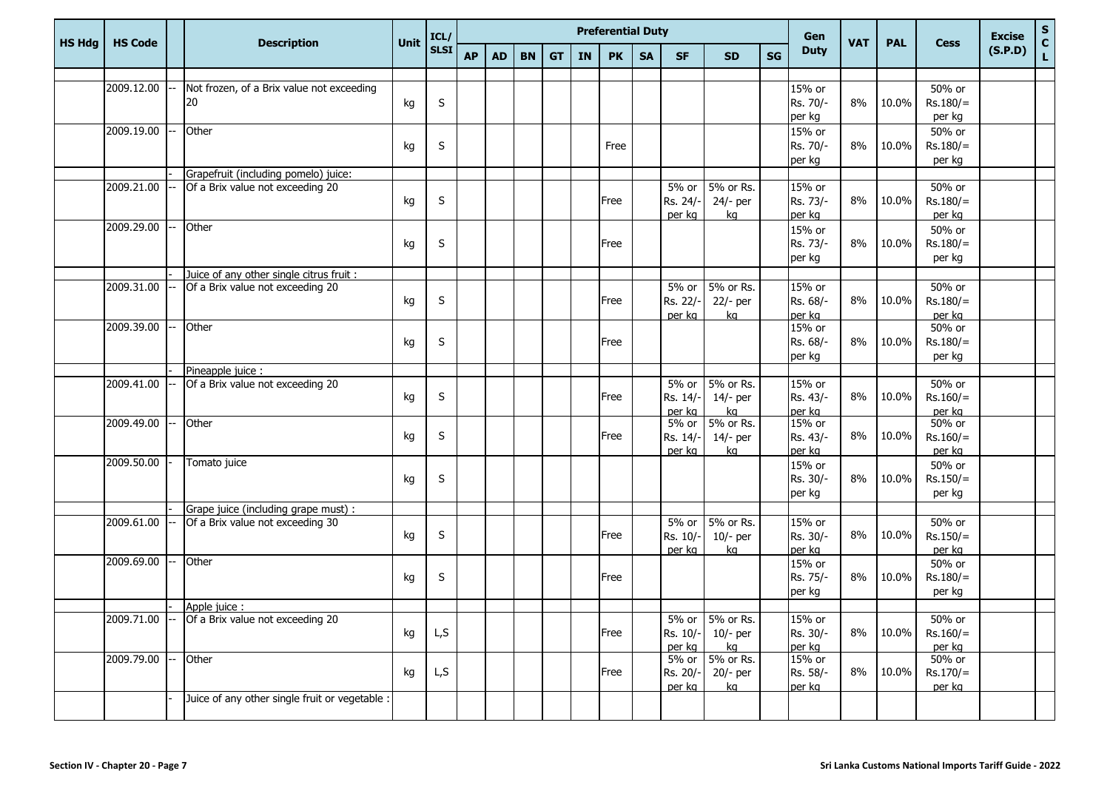|               |                |                                                |      | ICL/        |           |           |           |           |           | <b>Preferential Duty</b> |           |           |                 |    | <b>Gen</b>         |            |            |                      | <b>Excise</b> |                                             |
|---------------|----------------|------------------------------------------------|------|-------------|-----------|-----------|-----------|-----------|-----------|--------------------------|-----------|-----------|-----------------|----|--------------------|------------|------------|----------------------|---------------|---------------------------------------------|
| <b>HS Hdg</b> | <b>HS Code</b> | <b>Description</b>                             | Unit | <b>SLSI</b> | <b>AP</b> | <b>AD</b> | <b>BN</b> | <b>GT</b> | <b>IN</b> | <b>PK</b>                | <b>SA</b> | <b>SF</b> | <b>SD</b>       | SG | <b>Duty</b>        | <b>VAT</b> | <b>PAL</b> | <b>Cess</b>          | (S.P.D)       | $\begin{bmatrix} 5 \\ C \\ L \end{bmatrix}$ |
|               |                |                                                |      |             |           |           |           |           |           |                          |           |           |                 |    |                    |            |            |                      |               |                                             |
|               | 2009.12.00     | Not frozen, of a Brix value not exceeding      |      |             |           |           |           |           |           |                          |           |           |                 |    | 15% or             |            |            | 50% or               |               |                                             |
|               |                | 20                                             | kg   | S           |           |           |           |           |           |                          |           |           |                 |    | Rs. 70/-           | 8%         | 10.0%      | $Rs.180/=$           |               |                                             |
|               |                |                                                |      |             |           |           |           |           |           |                          |           |           |                 |    | per kg             |            |            | per kg               |               |                                             |
|               | 2009.19.00     | Other                                          |      | S           |           |           |           |           |           | Free                     |           |           |                 |    | 15% or<br>Rs. 70/- | 8%         | 10.0%      | 50% or<br>$Rs.180/=$ |               |                                             |
|               |                |                                                | kg   |             |           |           |           |           |           |                          |           |           |                 |    | per kg             |            |            | per kg               |               |                                             |
|               |                | Grapefruit (including pomelo) juice:           |      |             |           |           |           |           |           |                          |           |           |                 |    |                    |            |            |                      |               |                                             |
|               | 2009.21.00     | Of a Brix value not exceeding 20               |      |             |           |           |           |           |           |                          |           | 5% or     | 5% or Rs.       |    | 15% or             |            |            | 50% or               |               |                                             |
|               |                |                                                | kg   | S           |           |           |           |           |           | Free                     |           | Rs. 24/-  | $24/-$ per      |    | Rs. 73/-           | 8%         | 10.0%      | $Rs.180/=$           |               |                                             |
|               |                |                                                |      |             |           |           |           |           |           |                          |           | per kg    | kg              |    | per kg             |            |            | per kg               |               |                                             |
|               | 2009.29.00     | Other                                          |      |             |           |           |           |           |           |                          |           |           |                 |    | 15% or             |            |            | 50% or               |               |                                             |
|               |                |                                                | kg   | S           |           |           |           |           |           | Free                     |           |           |                 |    | Rs. 73/-           | 8%         | 10.0%      | $Rs.180/=$           |               |                                             |
|               |                |                                                |      |             |           |           |           |           |           |                          |           |           |                 |    | per kg             |            |            | per kg               |               |                                             |
|               |                | Juice of any other single citrus fruit :       |      |             |           |           |           |           |           |                          |           |           |                 |    |                    |            |            |                      |               |                                             |
|               | 2009.31.00     | Of a Brix value not exceeding 20               |      |             |           |           |           |           |           |                          |           | 5% or     | 5% or Rs.       |    | 15% or             |            |            | 50% or               |               |                                             |
|               |                |                                                | kg   | S           |           |           |           |           |           | Free                     |           | Rs. 22/-  | 22/- per        |    | Rs. 68/-           | 8%         | 10.0%      | $Rs.180/=$           |               |                                             |
|               | 2009.39.00     | Other                                          |      |             |           |           |           |           |           |                          |           | per kg    | ka              |    | per kg             |            |            | per kg               |               |                                             |
|               |                |                                                |      |             |           |           |           |           |           |                          |           |           |                 |    | 15% or             |            | 10.0%      | 50% or               |               |                                             |
|               |                |                                                | kg   | S           |           |           |           |           |           | Free                     |           |           |                 |    | Rs. 68/-<br>per kg | 8%         |            | $Rs.180/=$           |               |                                             |
|               |                | Pineapple juice :                              |      |             |           |           |           |           |           |                          |           |           |                 |    |                    |            |            | per kg               |               |                                             |
|               | 2009.41.00     | Of a Brix value not exceeding 20               |      |             |           |           |           |           |           |                          |           | 5% or     | 5% or Rs.       |    | 15% or             |            |            | 50% or               |               |                                             |
|               |                |                                                | kg   | S           |           |           |           |           |           | Free                     |           | Rs. 14/-  | $14/-$ per      |    | Rs. 43/-           | 8%         | 10.0%      | $Rs.160/=$           |               |                                             |
|               |                |                                                |      |             |           |           |           |           |           |                          |           | per ka    | ka              |    | per kg             |            |            | per kg               |               |                                             |
|               | 2009.49.00     | Other                                          |      |             |           |           |           |           |           |                          |           | $5%$ or   | 5% or Rs.       |    | 15% or             |            |            | 50% or               |               |                                             |
|               |                |                                                | kg   | S           |           |           |           |           |           | Free                     |           | Rs. 14/-  | $14/-$ per      |    | Rs. 43/-           | 8%         | 10.0%      | $Rs.160/=$           |               |                                             |
|               |                |                                                |      |             |           |           |           |           |           |                          |           | per kg    | ka              |    | per kg             |            |            | per kg               |               |                                             |
|               | 2009.50.00     | Tomato juice                                   |      |             |           |           |           |           |           |                          |           |           |                 |    | 15% or             |            |            | 50% or               |               |                                             |
|               |                |                                                | kg   | S           |           |           |           |           |           |                          |           |           |                 |    | Rs. 30/-           | 8%         | 10.0%      | $Rs.150/=$           |               |                                             |
|               |                |                                                |      |             |           |           |           |           |           |                          |           |           |                 |    | per kg             |            |            | per kg               |               |                                             |
|               |                | Grape juice (including grape must) :           |      |             |           |           |           |           |           |                          |           | 5% or     | 5% or Rs.       |    |                    |            |            | 50% or               |               |                                             |
|               | 2009.61.00     | Of a Brix value not exceeding 30               | kg   | $\sf S$     |           |           |           |           |           | Free                     |           | Rs. 10/-  | $10/-$ per      |    | 15% or<br>Rs. 30/- | 8%         | 10.0%      | $Rs.150/=$           |               |                                             |
|               |                |                                                |      |             |           |           |           |           |           |                          |           | per kg    | ka              |    | per kg             |            |            | per kg               |               |                                             |
|               | 2009.69.00     | Other                                          |      |             |           |           |           |           |           |                          |           |           |                 |    | 15% or             |            |            | 50% or               |               |                                             |
|               |                |                                                | kg   | S           |           |           |           |           |           | Free                     |           |           |                 |    | Rs. 75/-           | 8%         | 10.0%      | $Rs.180/=$           |               |                                             |
|               |                |                                                |      |             |           |           |           |           |           |                          |           |           |                 |    | per kg             |            |            | per kg               |               |                                             |
|               |                | Apple juice :                                  |      |             |           |           |           |           |           |                          |           |           |                 |    |                    |            |            |                      |               |                                             |
|               | 2009.71.00     | Of a Brix value not exceeding 20               |      |             |           |           |           |           |           |                          |           |           | 5% or 5% or Rs. |    | 15% or             |            |            | 50% or               |               |                                             |
|               |                |                                                | kg   | L,S         |           |           |           |           |           | Free                     |           | Rs. 10/-  | $10/-$ per      |    | Rs. 30/-           | 8%         | 10.0%      | $Rs.160/=$           |               |                                             |
|               |                |                                                |      |             |           |           |           |           |           |                          |           | per ka    | ka              |    | per ka             |            |            | per ka               |               |                                             |
|               | 2009.79.00     | Other                                          |      |             |           |           |           |           |           |                          |           |           | 5% or 5% or Rs. |    | 15% or             |            |            | 50% or               |               |                                             |
|               |                |                                                | kg   | L, S        |           |           |           |           |           | Free                     |           | Rs. 20/-  | $20/-$ per      |    | Rs. 58/-           | 8%         | 10.0%      | $Rs.170/=$           |               |                                             |
|               |                | Juice of any other single fruit or vegetable : |      |             |           |           |           |           |           |                          |           | per ka    | ka              |    | per ka             |            |            | per ka               |               |                                             |
|               |                |                                                |      |             |           |           |           |           |           |                          |           |           |                 |    |                    |            |            |                      |               |                                             |